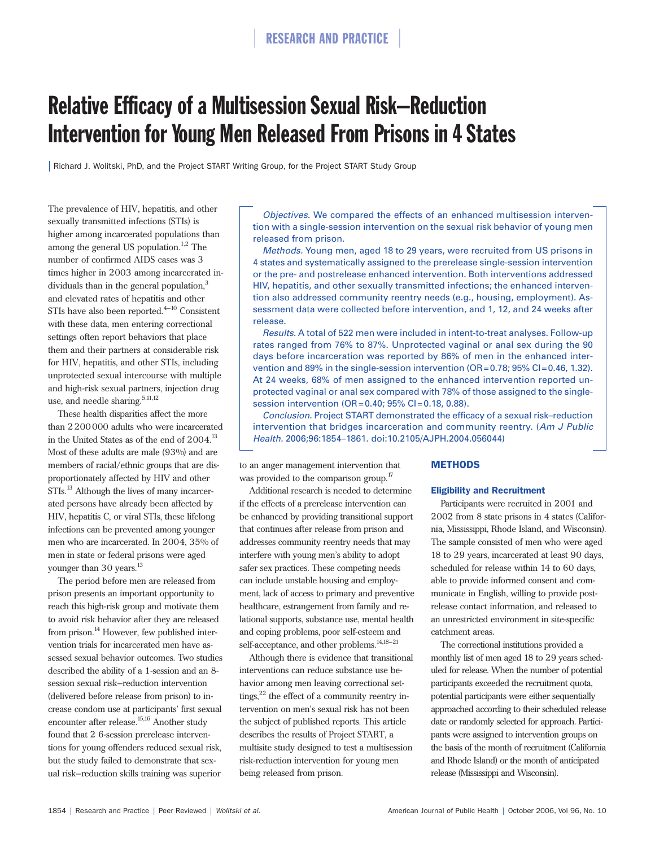# Relative Efficacy of a Multisession Sexual Risk–Reduction Intervention for Young Men Released From Prisons in 4 States

| Richard J. Wolitski, PhD, and the Project START Writing Group, for the Project START Study Group

The prevalence of HIV, hepatitis, and other sexually transmitted infections (STIs) is higher among incarcerated populations than among the general US population.<sup>1,2</sup> The number of confirmed AIDS cases was 3 times higher in 2003 among incarcerated individuals than in the general population, $3$ and elevated rates of hepatitis and other STIs have also been reported. $4-10$  Consistent with these data, men entering correctional settings often report behaviors that place them and their partners at considerable risk for HIV, hepatitis, and other STIs, including unprotected sexual intercourse with multiple and high-risk sexual partners, injection drug use, and needle sharing.<sup>5,11,12</sup>

These health disparities affect the more than 2200000 adults who were incarcerated in the United States as of the end of 2004.<sup>13</sup> Most of these adults are male (93%) and are members of racial/ethnic groups that are disproportionately affected by HIV and other STIs.<sup>13</sup> Although the lives of many incarcerated persons have already been affected by HIV, hepatitis C, or viral STIs, these lifelong infections can be prevented among younger men who are incarcerated. In 2004, 35% of men in state or federal prisons were aged younger than 30 years.<sup>13</sup>

The period before men are released from prison presents an important opportunity to reach this high-risk group and motivate them to avoid risk behavior after they are released from prison.<sup>14</sup> However, few published intervention trials for incarcerated men have assessed sexual behavior outcomes. Two studies described the ability of a 1-session and an 8 session sexual risk–reduction intervention (delivered before release from prison) to increase condom use at participants' first sexual encounter after release.15,16 Another study found that 2 6-session prerelease interventions for young offenders reduced sexual risk, but the study failed to demonstrate that sexual risk–reduction skills training was superior

*Objectives.* We compared the effects of an enhanced multisession intervention with a single-session intervention on the sexual risk behavior of young men released from prison.

*Methods.* Young men, aged 18 to 29 years, were recruited from US prisons in 4 states and systematically assigned to the prerelease single-session intervention or the pre- and postrelease enhanced intervention. Both interventions addressed HIV, hepatitis, and other sexually transmitted infections; the enhanced intervention also addressed community reentry needs (e.g., housing, employment). Assessment data were collected before intervention, and 1, 12, and 24 weeks after release.

*Results.* A total of 522 men were included in intent-to-treat analyses. Follow-up rates ranged from 76% to 87%. Unprotected vaginal or anal sex during the 90 days before incarceration was reported by 86% of men in the enhanced intervention and 89% in the single-session intervention (OR=0.78; 95% CI=0.46, 1.32). At 24 weeks, 68% of men assigned to the enhanced intervention reported unprotected vaginal or anal sex compared with 78% of those assigned to the singlesession intervention (OR=0.40; 95% CI=0.18, 0.88).

*Conclusion.* Project START demonstrated the efficacy of a sexual risk–reduction intervention that bridges incarceration and community reentry. (*Am J Public Health.* 2006;96:1854–1861. doi:10.2105/AJPH.2004.056044)

to an anger management intervention that was provided to the comparison group.<sup>17</sup>

Additional research is needed to determine if the effects of a prerelease intervention can be enhanced by providing transitional support that continues after release from prison and addresses community reentry needs that may interfere with young men's ability to adopt safer sex practices. These competing needs can include unstable housing and employment, lack of access to primary and preventive healthcare, estrangement from family and relational supports, substance use, mental health and coping problems, poor self-esteem and self-acceptance, and other problems.  $^{14,18-21}$ 

Although there is evidence that transitional interventions can reduce substance use behavior among men leaving correctional settings, $^{22}$  the effect of a community reentry intervention on men's sexual risk has not been the subject of published reports. This article describes the results of Project START, a multisite study designed to test a multisession risk-reduction intervention for young men being released from prison.

# **METHODS**

### Eligibility and Recruitment

Participants were recruited in 2001 and 2002 from 8 state prisons in 4 states (California, Mississippi, Rhode Island, and Wisconsin). The sample consisted of men who were aged 18 to 29 years, incarcerated at least 90 days, scheduled for release within 14 to 60 days, able to provide informed consent and communicate in English, willing to provide postrelease contact information, and released to an unrestricted environment in site-specific catchment areas.

The correctional institutions provided a monthly list of men aged 18 to 29 years scheduled for release. When the number of potential participants exceeded the recruitment quota, potential participants were either sequentially approached according to their scheduled release date or randomly selected for approach. Participants were assigned to intervention groups on the basis of the month of recruitment (California and Rhode Island) or the month of anticipated release (Mississippi and Wisconsin).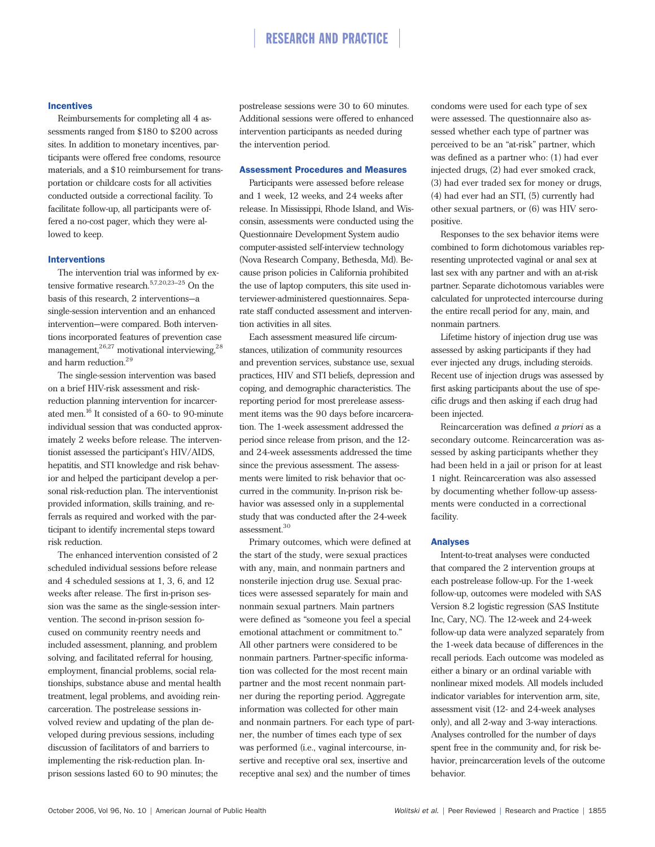### **Incentives**

Reimbursements for completing all 4 assessments ranged from \$180 to \$200 across sites. In addition to monetary incentives, participants were offered free condoms, resource materials, and a \$10 reimbursement for transportation or childcare costs for all activities conducted outside a correctional facility. To facilitate follow-up, all participants were offered a no-cost pager, which they were allowed to keep.

### Interventions

The intervention trial was informed by extensive formative research.5,7,20,23–25 On the basis of this research, 2 interventions—a single-session intervention and an enhanced intervention—were compared. Both interventions incorporated features of prevention case management,  $26,27$  motivational interviewing,  $28$ and harm reduction.<sup>29</sup>

The single-session intervention was based on a brief HIV-risk assessment and riskreduction planning intervention for incarcerated men.<sup>16</sup> It consisted of a 60- to 90-minute individual session that was conducted approximately 2 weeks before release. The interventionist assessed the participant's HIV/AIDS, hepatitis, and STI knowledge and risk behavior and helped the participant develop a personal risk-reduction plan. The interventionist provided information, skills training, and referrals as required and worked with the participant to identify incremental steps toward risk reduction.

The enhanced intervention consisted of 2 scheduled individual sessions before release and 4 scheduled sessions at 1, 3, 6, and 12 weeks after release. The first in-prison session was the same as the single-session intervention. The second in-prison session focused on community reentry needs and included assessment, planning, and problem solving, and facilitated referral for housing, employment, financial problems, social relationships, substance abuse and mental health treatment, legal problems, and avoiding reincarceration. The postrelease sessions involved review and updating of the plan developed during previous sessions, including discussion of facilitators of and barriers to implementing the risk-reduction plan. Inprison sessions lasted 60 to 90 minutes; the

postrelease sessions were 30 to 60 minutes. Additional sessions were offered to enhanced intervention participants as needed during the intervention period.

### Assessment Procedures and Measures

Participants were assessed before release and 1 week, 12 weeks, and 24 weeks after release. In Mississippi, Rhode Island, and Wisconsin, assessments were conducted using the Questionnaire Development System audio computer-assisted self-interview technology (Nova Research Company, Bethesda, Md). Because prison policies in California prohibited the use of laptop computers, this site used interviewer-administered questionnaires. Separate staff conducted assessment and intervention activities in all sites.

Each assessment measured life circumstances, utilization of community resources and prevention services, substance use, sexual practices, HIV and STI beliefs, depression and coping, and demographic characteristics. The reporting period for most prerelease assessment items was the 90 days before incarceration. The 1-week assessment addressed the period since release from prison, and the 12 and 24-week assessments addressed the time since the previous assessment. The assessments were limited to risk behavior that occurred in the community. In-prison risk behavior was assessed only in a supplemental study that was conducted after the 24-week assessment.30

Primary outcomes, which were defined at the start of the study, were sexual practices with any, main, and nonmain partners and nonsterile injection drug use. Sexual practices were assessed separately for main and nonmain sexual partners. Main partners were defined as "someone you feel a special emotional attachment or commitment to." All other partners were considered to be nonmain partners. Partner-specific information was collected for the most recent main partner and the most recent nonmain partner during the reporting period. Aggregate information was collected for other main and nonmain partners. For each type of partner, the number of times each type of sex was performed (i.e., vaginal intercourse, insertive and receptive oral sex, insertive and receptive anal sex) and the number of times

condoms were used for each type of sex were assessed. The questionnaire also assessed whether each type of partner was perceived to be an "at-risk" partner, which was defined as a partner who: (1) had ever injected drugs, (2) had ever smoked crack, (3) had ever traded sex for money or drugs, (4) had ever had an STI, (5) currently had other sexual partners, or (6) was HIV seropositive.

Responses to the sex behavior items were combined to form dichotomous variables representing unprotected vaginal or anal sex at last sex with any partner and with an at-risk partner. Separate dichotomous variables were calculated for unprotected intercourse during the entire recall period for any, main, and nonmain partners.

Lifetime history of injection drug use was assessed by asking participants if they had ever injected any drugs, including steroids. Recent use of injection drugs was assessed by first asking participants about the use of specific drugs and then asking if each drug had been injected.

Reincarceration was defined *a priori* as a secondary outcome. Reincarceration was assessed by asking participants whether they had been held in a jail or prison for at least 1 night. Reincarceration was also assessed by documenting whether follow-up assessments were conducted in a correctional facility.

### Analyses

Intent-to-treat analyses were conducted that compared the 2 intervention groups at each postrelease follow-up. For the 1-week follow-up, outcomes were modeled with SAS Version 8.2 logistic regression (SAS Institute Inc, Cary, NC). The 12-week and 24-week follow-up data were analyzed separately from the 1-week data because of differences in the recall periods. Each outcome was modeled as either a binary or an ordinal variable with nonlinear mixed models. All models included indicator variables for intervention arm, site, assessment visit (12- and 24-week analyses only), and all 2-way and 3-way interactions. Analyses controlled for the number of days spent free in the community and, for risk behavior, preincarceration levels of the outcome behavior.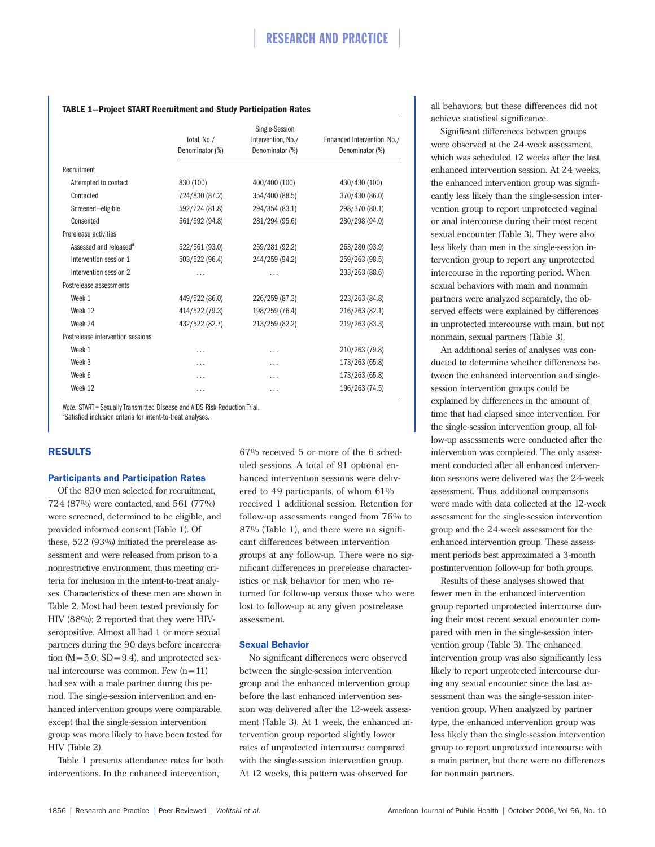### **TABLE 1—Project START Recruitment and Study Participation Rates**

|                                    | Total, No./     | Single-Session<br>Intervention, No./ | Enhanced Intervention, No./ |  |  |
|------------------------------------|-----------------|--------------------------------------|-----------------------------|--|--|
|                                    | Denominator (%) | Denominator (%)                      | Denominator (%)             |  |  |
| Recruitment                        |                 |                                      |                             |  |  |
| Attempted to contact               | 830 (100)       | 400/400 (100)                        | 430/430 (100)               |  |  |
| Contacted                          | 724/830 (87.2)  | 354/400 (88.5)                       | 370/430 (86.0)              |  |  |
| Screened-eligible                  | 592/724 (81.8)  | 294/354 (83.1)                       | 298/370 (80.1)              |  |  |
| Consented                          | 561/592 (94.8)  | 281/294 (95.6)                       | 280/298 (94.0)              |  |  |
| Prerelease activities              |                 |                                      |                             |  |  |
| Assessed and released <sup>a</sup> | 522/561 (93.0)  | 259/281 (92.2)                       | 263/280 (93.9)              |  |  |
| Intervention session 1             | 503/522 (96.4)  | 244/259 (94.2)                       | 259/263 (98.5)              |  |  |
| Intervention session 2             | .               | .                                    | 233/263 (88.6)              |  |  |
| Postrelease assessments            |                 |                                      |                             |  |  |
| Week 1                             | 449/522 (86.0)  | 226/259 (87.3)                       | 223/263 (84.8)              |  |  |
| Week 12                            | 414/522 (79.3)  | 198/259 (76.4)                       | 216/263 (82.1)              |  |  |
| Week 24                            | 432/522 (82.7)  | 213/259 (82.2)                       | 219/263 (83.3)              |  |  |
| Postrelease intervention sessions  |                 |                                      |                             |  |  |
| Week 1                             | .               | .                                    | 210/263 (79.8)              |  |  |
| Week 3                             | .               | .                                    | 173/263 (65.8)              |  |  |
| Week 6                             | .               | .                                    | 173/263 (65.8)              |  |  |
| Week 12                            | .               | $\cdots$                             | 196/263 (74.5)              |  |  |

*Note.* START = Sexually Transmitted Disease and AIDS Risk Reduction Trial.

<sup>a</sup>Satisfied inclusion criteria for intent-to-treat analyses.

# RESULTS

### Participants and Participation Rates

Of the 830 men selected for recruitment, 724 (87%) were contacted, and 561 (77%) were screened, determined to be eligible, and provided informed consent (Table 1). Of these, 522 (93%) initiated the prerelease assessment and were released from prison to a nonrestrictive environment, thus meeting criteria for inclusion in the intent-to-treat analyses. Characteristics of these men are shown in Table 2. Most had been tested previously for HIV (88%); 2 reported that they were HIVseropositive. Almost all had 1 or more sexual partners during the 90 days before incarceration  $(M=5.0; SD=9.4)$ , and unprotected sexual intercourse was common. Few  $(n=11)$ had sex with a male partner during this period. The single-session intervention and enhanced intervention groups were comparable, except that the single-session intervention group was more likely to have been tested for HIV (Table 2).

Table 1 presents attendance rates for both interventions. In the enhanced intervention,

67% received 5 or more of the 6 scheduled sessions. A total of 91 optional enhanced intervention sessions were delivered to 49 participants, of whom 61% received 1 additional session. Retention for follow-up assessments ranged from 76% to 87% (Table 1), and there were no significant differences between intervention groups at any follow-up. There were no significant differences in prerelease characteristics or risk behavior for men who returned for follow-up versus those who were lost to follow-up at any given postrelease assessment.

#### Sexual Behavior

No significant differences were observed between the single-session intervention group and the enhanced intervention group before the last enhanced intervention session was delivered after the 12-week assessment (Table 3). At 1 week, the enhanced intervention group reported slightly lower rates of unprotected intercourse compared with the single-session intervention group. At 12 weeks, this pattern was observed for

all behaviors, but these differences did not achieve statistical significance.

Significant differences between groups were observed at the 24-week assessment, which was scheduled 12 weeks after the last enhanced intervention session. At 24 weeks, the enhanced intervention group was significantly less likely than the single-session intervention group to report unprotected vaginal or anal intercourse during their most recent sexual encounter (Table 3). They were also less likely than men in the single-session intervention group to report any unprotected intercourse in the reporting period. When sexual behaviors with main and nonmain partners were analyzed separately, the observed effects were explained by differences in unprotected intercourse with main, but not nonmain, sexual partners (Table 3).

An additional series of analyses was conducted to determine whether differences between the enhanced intervention and singlesession intervention groups could be explained by differences in the amount of time that had elapsed since intervention. For the single-session intervention group, all follow-up assessments were conducted after the intervention was completed. The only assessment conducted after all enhanced intervention sessions were delivered was the 24-week assessment. Thus, additional comparisons were made with data collected at the 12-week assessment for the single-session intervention group and the 24-week assessment for the enhanced intervention group. These assessment periods best approximated a 3-month postintervention follow-up for both groups.

Results of these analyses showed that fewer men in the enhanced intervention group reported unprotected intercourse during their most recent sexual encounter compared with men in the single-session intervention group (Table 3). The enhanced intervention group was also significantly less likely to report unprotected intercourse during any sexual encounter since the last assessment than was the single-session intervention group. When analyzed by partner type, the enhanced intervention group was less likely than the single-session intervention group to report unprotected intercourse with a main partner, but there were no differences for nonmain partners.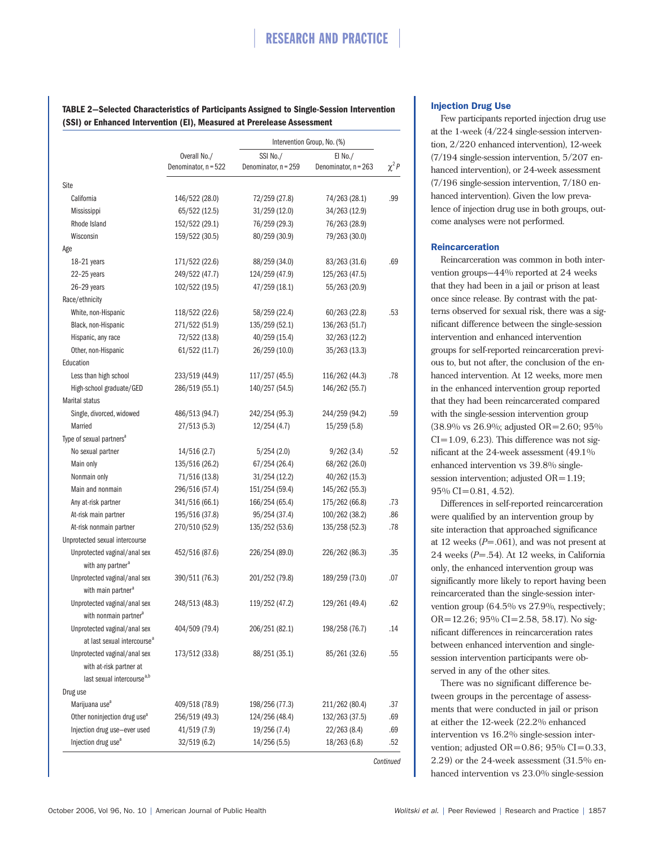# **TABLE 2—Selected Characteristics of Participants Assigned to Single-Session Intervention (SSI) or Enhanced Intervention (EI), Measured at Prerelease Assessment**

|                                                               |                      | Intervention Group, No. (%) |                      |            |
|---------------------------------------------------------------|----------------------|-----------------------------|----------------------|------------|
|                                                               | Overall No./         | SSI No./                    | El No. /             |            |
|                                                               | Denominator, n = 522 | Denominator, n = 259        | Denominator, n = 263 | $\chi^2 P$ |
| Site                                                          |                      |                             |                      |            |
| California                                                    | 146/522 (28.0)       | 72/259 (27.8)               | 74/263 (28.1)        | .99        |
| Mississippi                                                   | 65/522 (12.5)        | 31/259(12.0)                | 34/263 (12.9)        |            |
| Rhode Island                                                  | 152/522 (29.1)       | 76/259 (29.3)               | 76/263 (28.9)        |            |
| Wisconsin                                                     | 159/522 (30.5)       | 80/259 (30.9)               | 79/263 (30.0)        |            |
| Age                                                           |                      |                             |                      |            |
| 18-21 years                                                   | 171/522 (22.6)       | 88/259 (34.0)               | 83/263 (31.6)        | .69        |
| $22-25$ years                                                 | 249/522 (47.7)       | 124/259 (47.9)              | 125/263 (47.5)       |            |
| $26-29$ years                                                 | 102/522 (19.5)       | 47/259 (18.1)               | 55/263 (20.9)        |            |
| Race/ethnicity                                                |                      |                             |                      |            |
| White, non-Hispanic                                           | 118/522 (22.6)       | 58/259 (22.4)               | 60/263 (22.8)        | .53        |
| Black, non-Hispanic                                           | 271/522 (51.9)       | 135/259 (52.1)              | 136/263 (51.7)       |            |
| Hispanic, any race                                            | 72/522 (13.8)        | 40/259 (15.4)               | 32/263 (12.2)        |            |
| Other, non-Hispanic                                           | 61/522(11.7)         | 26/259 (10.0)               | 35/263 (13.3)        |            |
| Education                                                     |                      |                             |                      |            |
| Less than high school                                         | 233/519 (44.9)       | 117/257 (45.5)              | 116/262 (44.3)       | .78        |
| High-school graduate/GED                                      | 286/519 (55.1)       | 140/257 (54.5)              | 146/262 (55.7)       |            |
| Marital status                                                |                      |                             |                      |            |
| Single, divorced, widowed                                     | 486/513 (94.7)       | 242/254 (95.3)              | 244/259 (94.2)       | .59        |
| Married                                                       | 27/513(5.3)          | 12/254(4.7)                 | 15/259 (5.8)         |            |
| Type of sexual partners <sup>a</sup>                          |                      |                             |                      |            |
| No sexual partner                                             | 14/516 (2.7)         | 5/254(2.0)                  | 9/262(3.4)           | .52        |
| Main only                                                     | 135/516 (26.2)       | 67/254 (26.4)               | 68/262 (26.0)        |            |
| Nonmain only                                                  | 71/516 (13.8)        | 31/254 (12.2)               | 40/262 (15.3)        |            |
| Main and nonmain                                              | 296/516 (57.4)       | 151/254 (59.4)              | 145/262 (55.3)       |            |
| Any at-risk partner                                           | 341/516 (66.1)       | 166/254 (65.4)              | 175/262 (66.8)       | .73        |
| At-risk main partner                                          | 195/516 (37.8)       | 95/254 (37.4)               | 100/262 (38.2)       | .86        |
| At-risk nonmain partner                                       | 270/510 (52.9)       | 135/252 (53.6)              | 135/258 (52.3)       | .78        |
| Unprotected sexual intercourse                                |                      |                             |                      |            |
| Unprotected vaginal/anal sex<br>with any partner <sup>a</sup> | 452/516 (87.6)       | 226/254 (89.0)              | 226/262 (86.3)       | .35        |
| Unprotected vaginal/anal sex                                  | 390/511 (76.3)       | 201/252 (79.8)              | 189/259 (73.0)       | .07        |
| with main partner <sup>a</sup>                                |                      |                             |                      |            |
| Unprotected vaginal/anal sex                                  | 248/513 (48.3)       | 119/252 (47.2)              | 129/261 (49.4)       | .62        |
| with nonmain partner <sup>a</sup>                             |                      |                             |                      |            |
| Unprotected vaginal/anal sex                                  | 404/509 (79.4)       | 206/251 (82.1)              | 198/258 (76.7)       | .14        |
| at last sexual intercourse <sup>a</sup>                       |                      |                             |                      |            |
| Unprotected vaginal/anal sex                                  | 173/512 (33.8)       | 88/251 (35.1)               | 85/261 (32.6)        | .55        |
| with at-risk partner at                                       |                      |                             |                      |            |
| last sexual intercourse <sup>a,b</sup>                        |                      |                             |                      |            |
| Drug use                                                      |                      |                             |                      |            |
| Marijuana use <sup>a</sup>                                    | 409/518 (78.9)       | 198/256 (77.3)              | 211/262 (80.4)       | .37        |
| Other noninjection drug use <sup>a</sup>                      | 256/519 (49.3)       | 124/256 (48.4)              | 132/263 (37.5)       | .69        |
| Injection drug use-ever used                                  | 41/519 (7.9)         | 19/256 (7.4)                | 22/263 (8.4)         | .69        |
| Injection drug use <sup>a</sup>                               | 32/519(6.2)          | 14/256(5.5)                 | 18/263 (6.8)         | .52        |
|                                                               |                      |                             |                      | Continued  |

### Injection Drug Use

Few participants reported injection drug use at the 1-week (4/224 single-session intervention, 2/220 enhanced intervention), 12-week (7/194 single-session intervention, 5/207 enhanced intervention), or 24-week assessment (7/196 single-session intervention, 7/180 enhanced intervention). Given the low prevalence of injection drug use in both groups, outcome analyses were not performed.

## Reincarceration

Reincarceration was common in both intervention groups—44% reported at 24 weeks that they had been in a jail or prison at least once since release. By contrast with the patterns observed for sexual risk, there was a significant difference between the single-session intervention and enhanced intervention groups for self-reported reincarceration previous to, but not after, the conclusion of the enhanced intervention. At 12 weeks, more men in the enhanced intervention group reported that they had been reincarcerated compared with the single-session intervention group (38.9% vs 26.9%; adjusted OR=2.60; 95%  $CI=1.09, 6.23$ . This difference was not significant at the 24-week assessment (49.1% enhanced intervention vs 39.8% singlesession intervention; adjusted OR=1.19; 95% CI=0.81, 4.52).

Differences in self-reported reincarceration were qualified by an intervention group by site interaction that approached significance at 12 weeks (*P*=.061), and was not present at 24 weeks (*P*=.54). At 12 weeks, in California only, the enhanced intervention group was significantly more likely to report having been reincarcerated than the single-session intervention group (64.5% vs 27.9%, respectively; OR=12.26; 95% CI=2.58, 58.17). No significant differences in reincarceration rates between enhanced intervention and singlesession intervention participants were observed in any of the other sites.

There was no significant difference between groups in the percentage of assessments that were conducted in jail or prison at either the 12-week (22.2% enhanced intervention vs 16.2% single-session intervention; adjusted OR=0.86; 95% CI=0.33, 2.29) or the 24-week assessment (31.5% enhanced intervention vs 23.0% single-session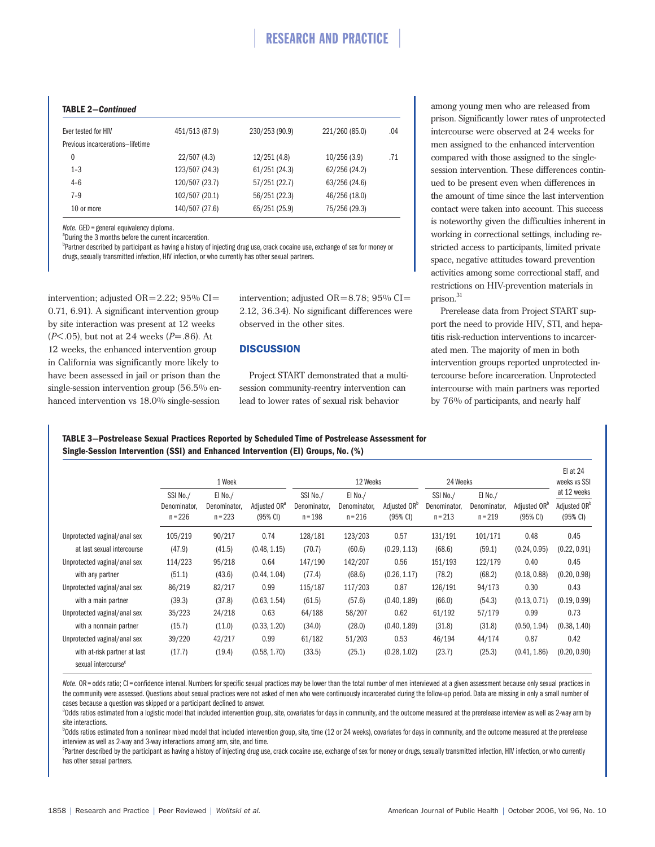### **TABLE 2—***Continued*

| Ever tested for HIV              | 451/513 (87.9) | 230/253 (90.9) | 221/260 (85.0) | .04 |
|----------------------------------|----------------|----------------|----------------|-----|
| Previous incarcerations-lifetime |                |                |                |     |
| 0                                | 22/507(4.3)    | 12/251 (4.8)   | 10/256(3.9)    | .71 |
| $1 - 3$                          | 123/507 (24.3) | 61/251 (24.3)  | 62/256 (24.2)  |     |
| $4 - 6$                          | 120/507 (23.7) | 57/251 (22.7)  | 63/256 (24.6)  |     |
| $7 - 9$                          | 102/507 (20.1) | 56/251 (22.3)  | 46/256 (18.0)  |     |
| 10 or more                       | 140/507 (27.6) | 65/251 (25.9)  | 75/256 (29.3)  |     |
|                                  |                |                |                |     |

*Note.* GED = general equivalency diploma.

<sup>a</sup>During the 3 months before the current incarceration.

<sup>b</sup>Partner described by participant as having a history of injecting drug use, crack cocaine use, exchange of sex for money or drugs, sexually transmitted infection, HIV infection, or who currently has other sexual partners.

intervention; adjusted OR=2.22; 95% CI= 0.71, 6.91). A significant intervention group by site interaction was present at 12 weeks (*P*<.05), but not at 24 weeks (*P*=.86). At 12 weeks, the enhanced intervention group in California was significantly more likely to have been assessed in jail or prison than the single-session intervention group (56.5% enhanced intervention vs 18.0% single-session

intervention; adjusted OR=8.78; 95% CI= 2.12, 36.34). No significant differences were observed in the other sites.

# **DISCUSSION**

Project START demonstrated that a multisession community-reentry intervention can lead to lower rates of sexual risk behavior

among young men who are released from prison. Significantly lower rates of unprotected intercourse were observed at 24 weeks for men assigned to the enhanced intervention compared with those assigned to the singlesession intervention. These differences continued to be present even when differences in the amount of time since the last intervention contact were taken into account. This success is noteworthy given the difficulties inherent in working in correctional settings, including restricted access to participants, limited private space, negative attitudes toward prevention activities among some correctional staff, and restrictions on HIV-prevention materials in prison.<sup>31</sup>

Prerelease data from Project START support the need to provide HIV, STI, and hepatitis risk-reduction interventions to incarcerated men. The majority of men in both intervention groups reported unprotected intercourse before incarceration. Unprotected intercourse with main partners was reported by 76% of participants, and nearly half

# **TABLE 3—Postrelease Sexual Practices Reported by Scheduled Time of Postrelease Assessment for Single-Session Intervention (SSI) and Enhanced Intervention (EI) Groups, No. (%)**

|                                                                 | 1 Week                                |                                        |                                                |                                       | 24 Weeks<br>12 Weeks                 |                                                |                                                  | $El$ at 24<br>weeks vs SSI             |                                                |                                                               |
|-----------------------------------------------------------------|---------------------------------------|----------------------------------------|------------------------------------------------|---------------------------------------|--------------------------------------|------------------------------------------------|--------------------------------------------------|----------------------------------------|------------------------------------------------|---------------------------------------------------------------|
|                                                                 | SSI No./<br>Denominator.<br>$n = 226$ | $EI$ No./<br>Denominator,<br>$n = 223$ | Adjusted OR <sup>a</sup><br>$(95% \text{ Cl})$ | SSI No./<br>Denominator,<br>$n = 198$ | EI No./<br>Denominator.<br>$n = 216$ | Adjusted OR <sup>o</sup><br>$(95% \text{ Cl})$ | SSI <sub>No./</sub><br>Denominator.<br>$n = 213$ | $EI$ No./<br>Denominator.<br>$n = 219$ | Adjusted OR <sup>b</sup><br>$(95% \text{ Cl})$ | at 12 weeks<br>Adjusted OR <sup>b</sup><br>$(95% \text{ Cl})$ |
| Unprotected vaginal/anal sex                                    | 105/219                               | 90/217                                 | 0.74                                           | 128/181                               | 123/203                              | 0.57                                           | 131/191                                          | 101/171                                | 0.48                                           | 0.45                                                          |
| at last sexual intercourse                                      | (47.9)                                | (41.5)                                 | (0.48, 1.15)                                   | (70.7)                                | (60.6)                               | (0.29, 1.13)                                   | (68.6)                                           | (59.1)                                 | (0.24, 0.95)                                   | (0.22, 0.91)                                                  |
| Unprotected vaginal/anal sex                                    | 114/223                               | 95/218                                 | 0.64                                           | 147/190                               | 142/207                              | 0.56                                           | 151/193                                          | 122/179                                | 0.40                                           | 0.45                                                          |
| with any partner                                                | (51.1)                                | (43.6)                                 | (0.44, 1.04)                                   | (77.4)                                | (68.6)                               | (0.26, 1.17)                                   | (78.2)                                           | (68.2)                                 | (0.18, 0.88)                                   | (0.20, 0.98)                                                  |
| Unprotected vaginal/anal sex                                    | 86/219                                | 82/217                                 | 0.99                                           | 115/187                               | 117/203                              | 0.87                                           | 126/191                                          | 94/173                                 | 0.30                                           | 0.43                                                          |
| with a main partner                                             | (39.3)                                | (37.8)                                 | (0.63, 1.54)                                   | (61.5)                                | (57.6)                               | (0.40, 1.89)                                   | (66.0)                                           | (54.3)                                 | (0.13, 0.71)                                   | (0.19, 0.99)                                                  |
| Unprotected vaginal/anal sex                                    | 35/223                                | 24/218                                 | 0.63                                           | 64/188                                | 58/207                               | 0.62                                           | 61/192                                           | 57/179                                 | 0.99                                           | 0.73                                                          |
| with a nonmain partner                                          | (15.7)                                | (11.0)                                 | (0.33, 1.20)                                   | (34.0)                                | (28.0)                               | (0.40, 1.89)                                   | (31.8)                                           | (31.8)                                 | (0.50, 1.94)                                   | (0.38, 1.40)                                                  |
| Unprotected vaginal/anal sex                                    | 39/220                                | 42/217                                 | 0.99                                           | 61/182                                | 51/203                               | 0.53                                           | 46/194                                           | 44/174                                 | 0.87                                           | 0.42                                                          |
| with at-risk partner at last<br>sexual intercourse <sup>c</sup> | (17.7)                                | (19.4)                                 | (0.58, 1.70)                                   | (33.5)                                | (25.1)                               | (0.28, 1.02)                                   | (23.7)                                           | (25.3)                                 | (0.41, 1.86)                                   | (0.20, 0.90)                                                  |

Note. OR = odds ratio: CI = confidence interval. Numbers for specific sexual practices may be lower than the total number of men interviewed at a given assessment because only sexual practices in the community were assessed. Questions about sexual practices were not asked of men who were continuously incarcerated during the follow-up period. Data are missing in only a small number of cases because a question was skipped or a participant declined to answer.

<sup>a</sup>Odds ratios estimated from a logistic model that included intervention group, site, covariates for days in community, and the outcome measured at the prerelease interview as well as 2-way arm by site interactions

<sup>b</sup>Odds ratios estimated from a nonlinear mixed model that included intervention group, site, time (12 or 24 weeks), covariates for days in community, and the outcome measured at the prerelease interview as well as 2-way and 3-way interactions among arm, site, and time.

<sup>c</sup>Partner described by the participant as having a history of injecting drug use, crack cocaine use, exchange of sex for money or drugs, sexually transmitted infection, HIV infection, or who currently has other sexual partners.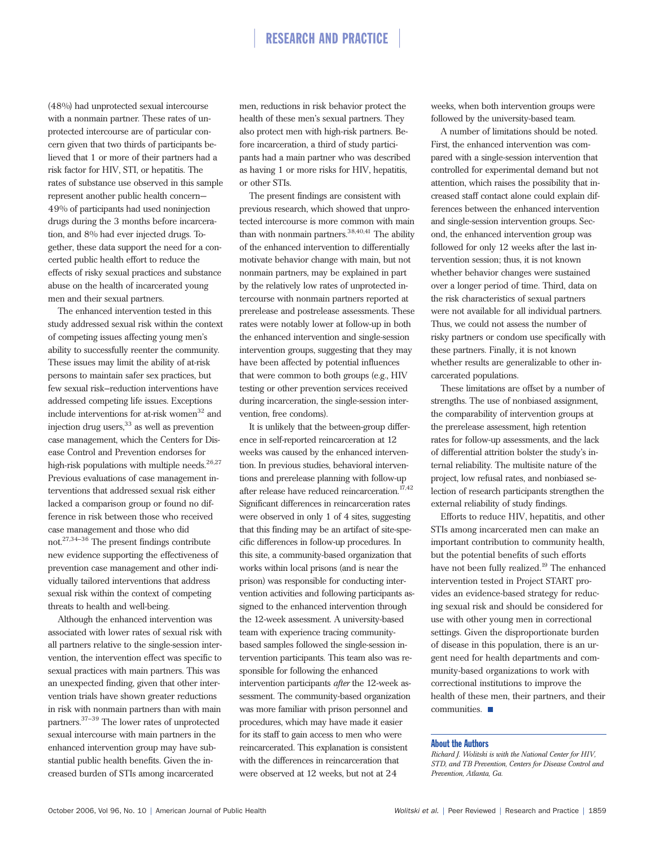(48%) had unprotected sexual intercourse with a nonmain partner. These rates of unprotected intercourse are of particular concern given that two thirds of participants believed that 1 or more of their partners had a risk factor for HIV, STI, or hepatitis. The rates of substance use observed in this sample represent another public health concern— 49% of participants had used noninjection drugs during the 3 months before incarceration, and 8% had ever injected drugs. Together, these data support the need for a concerted public health effort to reduce the effects of risky sexual practices and substance abuse on the health of incarcerated young men and their sexual partners.

The enhanced intervention tested in this study addressed sexual risk within the context of competing issues affecting young men's ability to successfully reenter the community. These issues may limit the ability of at-risk persons to maintain safer sex practices, but few sexual risk–reduction interventions have addressed competing life issues. Exceptions include interventions for at-risk women<sup>32</sup> and injection drug users,  $33$  as well as prevention case management, which the Centers for Disease Control and Prevention endorses for high-risk populations with multiple needs. $26,27$ Previous evaluations of case management interventions that addressed sexual risk either lacked a comparison group or found no difference in risk between those who received case management and those who did not.27,34–36 The present findings contribute new evidence supporting the effectiveness of prevention case management and other individually tailored interventions that address sexual risk within the context of competing threats to health and well-being.

Although the enhanced intervention was associated with lower rates of sexual risk with all partners relative to the single-session intervention, the intervention effect was specific to sexual practices with main partners. This was an unexpected finding, given that other intervention trials have shown greater reductions in risk with nonmain partners than with main partners.37–39 The lower rates of unprotected sexual intercourse with main partners in the enhanced intervention group may have substantial public health benefits. Given the increased burden of STIs among incarcerated

men, reductions in risk behavior protect the health of these men's sexual partners. They also protect men with high-risk partners. Before incarceration, a third of study participants had a main partner who was described as having 1 or more risks for HIV, hepatitis, or other STIs.

The present findings are consistent with previous research, which showed that unprotected intercourse is more common with main than with nonmain partners.  $38,40,41$  The ability of the enhanced intervention to differentially motivate behavior change with main, but not nonmain partners, may be explained in part by the relatively low rates of unprotected intercourse with nonmain partners reported at prerelease and postrelease assessments. These rates were notably lower at follow-up in both the enhanced intervention and single-session intervention groups, suggesting that they may have been affected by potential influences that were common to both groups (e.g., HIV testing or other prevention services received during incarceration, the single-session intervention, free condoms).

It is unlikely that the between-group difference in self-reported reincarceration at 12 weeks was caused by the enhanced intervention. In previous studies, behavioral interventions and prerelease planning with follow-up after release have reduced reincarceration.  $^{\mathrm{I7,42}}$ Significant differences in reincarceration rates were observed in only 1 of 4 sites, suggesting that this finding may be an artifact of site-specific differences in follow-up procedures. In this site, a community-based organization that works within local prisons (and is near the prison) was responsible for conducting intervention activities and following participants assigned to the enhanced intervention through the 12-week assessment. A university-based team with experience tracing communitybased samples followed the single-session intervention participants. This team also was responsible for following the enhanced intervention participants *after* the 12-week assessment. The community-based organization was more familiar with prison personnel and procedures, which may have made it easier for its staff to gain access to men who were reincarcerated. This explanation is consistent with the differences in reincarceration that were observed at 12 weeks, but not at 24

weeks, when both intervention groups were followed by the university-based team.

A number of limitations should be noted. First, the enhanced intervention was compared with a single-session intervention that controlled for experimental demand but not attention, which raises the possibility that increased staff contact alone could explain differences between the enhanced intervention and single-session intervention groups. Second, the enhanced intervention group was followed for only 12 weeks after the last intervention session; thus, it is not known whether behavior changes were sustained over a longer period of time. Third, data on the risk characteristics of sexual partners were not available for all individual partners. Thus, we could not assess the number of risky partners or condom use specifically with these partners. Finally, it is not known whether results are generalizable to other incarcerated populations.

These limitations are offset by a number of strengths. The use of nonbiased assignment, the comparability of intervention groups at the prerelease assessment, high retention rates for follow-up assessments, and the lack of differential attrition bolster the study's internal reliability. The multisite nature of the project, low refusal rates, and nonbiased selection of research participants strengthen the external reliability of study findings.

Efforts to reduce HIV, hepatitis, and other STIs among incarcerated men can make an important contribution to community health, but the potential benefits of such efforts have not been fully realized.<sup>19</sup> The enhanced intervention tested in Project START provides an evidence-based strategy for reducing sexual risk and should be considered for use with other young men in correctional settings. Given the disproportionate burden of disease in this population, there is an urgent need for health departments and community-based organizations to work with correctional institutions to improve the health of these men, their partners, and their communities.  $\blacksquare$ 

### About the Authors

*Richard J. Wolitski is with the National Center for HIV, STD, and TB Prevention, Centers for Disease Control and Prevention, Atlanta, Ga.*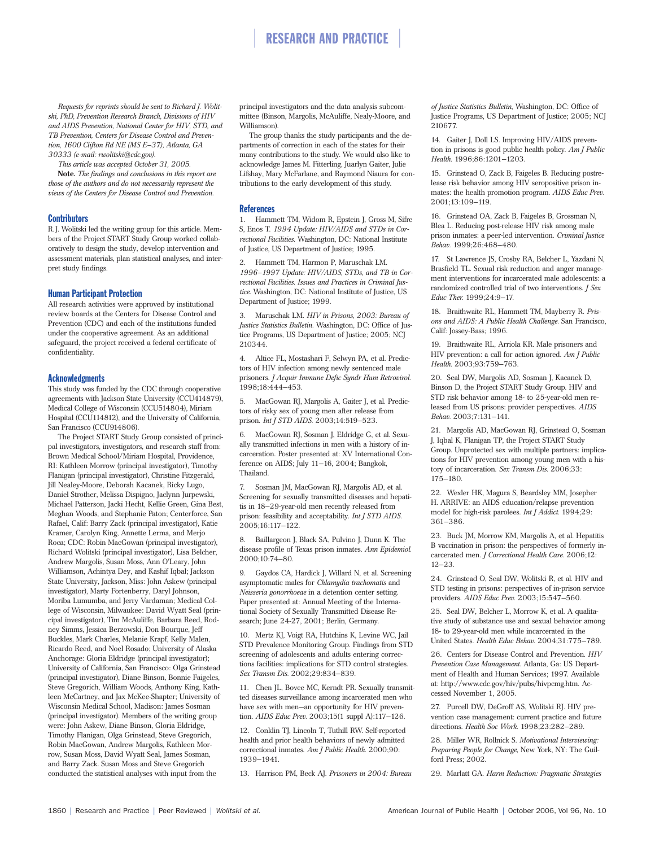*Requests for reprints should be sent to Richard J. Wolitski, PhD, Prevention Research Branch, Divisions of HIV and AIDS Prevention, National Center for HIV, STD, and TB Prevention, Centers for Disease Control and Prevention, 1600 Clifton Rd NE (MS E–37), Atlanta, GA 30333 (e-mail: rwolitski@cdc.gov).*

*This article was accepted October 31, 2005.*

**Note.** *The findings and conclusions in this report are those of the authors and do not necessarily represent the views of the Centers for Disease Control and Prevention.*

### **Contributors**

R.J. Wolitski led the writing group for this article. Members of the Project START Study Group worked collaboratively to design the study, develop intervention and assessment materials, plan statistical analyses, and interpret study findings.

#### Human Participant Protection

All research activities were approved by institutional review boards at the Centers for Disease Control and Prevention (CDC) and each of the institutions funded under the cooperative agreement. As an additional safeguard, the project received a federal certificate of confidentiality.

#### Acknowledgments

This study was funded by the CDC through cooperative agreements with Jackson State University (CCU414879), Medical College of Wisconsin (CCU514804), Miriam Hospital (CCU114812), and the University of California, San Francisco (CCU914806).

The Project START Study Group consisted of principal investigators, investigators, and research staff from: Brown Medical School/Miriam Hospital, Providence, RI: Kathleen Morrow (principal investigator), Timothy Flanigan (principal investigator), Christine Fitzgerald, Jill Nealey-Moore, Deborah Kacanek, Ricky Lugo, Daniel Strother, Melissa Dispigno, Jaclynn Jurpewski, Michael Patterson, Jacki Hecht, Kellie Green, Gina Best, Meghan Woods, and Stephanie Paton; Centerforce, San Rafael, Calif: Barry Zack (principal investigator), Katie Kramer, Carolyn King, Annette Lerma, and Merjo Roca; CDC: Robin MacGowan (principal investigator), Richard Wolitski (principal investigator), Lisa Belcher, Andrew Margolis, Susan Moss, Ann O'Leary, John Williamson, Achintya Dey, and Kashif Iqbal; Jackson State University, Jackson, Miss: John Askew (principal investigator), Marty Fortenberry, Daryl Johnson, Moriba Lumumba, and Jerry Vardaman; Medical College of Wisconsin, Milwaukee: David Wyatt Seal (principal investigator), Tim McAuliffe, Barbara Reed, Rodney Simms, Jessica Berzowski, Don Bourque, Jeff Buckles, Mark Charles, Melanie Krapf, Kelly Malen, Ricardo Reed, and Noel Rosado; University of Alaska Anchorage: Gloria Eldridge (principal investigator); University of California, San Francisco: Olga Grinstead (principal investigator), Diane Binson, Bonnie Faigeles, Steve Gregorich, William Woods, Anthony King, Kathleen McCartney, and Jax McKee-Shapter; University of Wisconsin Medical School, Madison: James Sosman (principal investigator). Members of the writing group were: John Askew, Diane Binson, Gloria Eldridge, Timothy Flanigan, Olga Grinstead, Steve Gregorich, Robin MacGowan, Andrew Margolis, Kathleen Morrow, Susan Moss, David Wyatt Seal, James Sosman, and Barry Zack. Susan Moss and Steve Gregorich conducted the statistical analyses with input from the

principal investigators and the data analysis subcommittee (Binson, Margolis, McAuliffe, Nealy-Moore, and Williamson).

The group thanks the study participants and the departments of correction in each of the states for their many contributions to the study. We would also like to acknowledge James M. Fitterling, Juarlyn Gaiter, Julie Lifshay, Mary McFarlane, and Raymond Niaura for contributions to the early development of this study.

#### **References**

1. Hammett TM, Widom R, Epstein J, Gross M, Sifre S, Enos T. *1994 Update: HIV/AIDS and STDs in Correctional Facilities.* Washington, DC: National Institute of Justice, US Department of Justice; 1995.

2. Hammett TM, Harmon P, Maruschak LM. *1996–1997 Update: HIV/AIDS, STDs, and TB in Correctional Facilities. Issues and Practices in Criminal Justice.* Washington, DC: National Institute of Justice, US Department of Justice; 1999.

3. Maruschak LM. *HIV in Prisons, 2003: Bureau of Justice Statistics Bulletin.* Washington, DC: Office of Justice Programs, US Department of Justice; 2005; NCJ 210344.

4. Altice FL, Mostashari F, Selwyn PA, et al. Predictors of HIV infection among newly sentenced male prisoners. *J Acquir Immune Defic Syndr Hum Retrovirol.* 1998;18:444–453.

5. MacGowan RJ, Margolis A, Gaiter J, et al. Predictors of risky sex of young men after release from prison. *Int J STD AIDS.* 2003;14:519–523.

6. MacGowan RJ, Sosman J, Eldridge G, et al. Sexually transmitted infections in men with a history of incarceration. Poster presented at: XV International Conference on AIDS; July 11–16, 2004; Bangkok, Thailand.

7. Sosman JM, MacGowan RJ, Margolis AD, et al. Screening for sexually transmitted diseases and hepatitis in 18–29-year-old men recently released from prison: feasibility and acceptability. *Int J STD AIDS.* 2005;16:117–122.

8. Baillargeon J, Black SA, Pulvino J, Dunn K. The disease profile of Texas prison inmates. *Ann Epidemiol.* 2000;10:74–80.

9. Gaydos CA, Hardick J, Willard N, et al. Screening asymptomatic males for *Chlamydia trachomatis* and *Neisseria gonorrhoeae* in a detention center setting. Paper presented at: Annual Meeting of the International Society of Sexually Transmitted Disease Research; June 24-27, 2001; Berlin, Germany.

10. Mertz KJ, Voigt RA, Hutchins K, Levine WC, Jail STD Prevalence Monitoring Group. Findings from STD screening of adolescents and adults entering corrections facilities: implications for STD control strategies. *Sex Transm Dis.* 2002;29:834–839.

11. Chen JL, Bovee MC, Kerndt PR. Sexually transmitted diseases surveillance among incarcerated men who have sex with men—an opportunity for HIV prevention. *AIDS Educ Prev.* 2003;15(1 suppl A):117–126.

12. Conklin TJ, Lincoln T, Tuthill RW. Self-reported health and prior health behaviors of newly admitted correctional inmates. *Am J Public Health.* 2000;90: 1939–1941.

13. Harrison PM, Beck AJ. *Prisoners in 2004: Bureau*

*of Justice Statistics Bulletin*, Washington, DC: Office of Justice Programs, US Department of Justice; 2005; NCJ 210677.

14. Gaiter J, Doll LS. Improving HIV/AIDS prevention in prisons is good public health policy. *Am J Public Health.* 1996;86:1201–1203.

15. Grinstead O, Zack B, Faigeles B. Reducing postrelease risk behavior among HIV seropositive prison inmates: the health promotion program. *AIDS Educ Prev.* 2001;13:109–119.

16. Grinstead OA, Zack B, Faigeles B, Grossman N, Blea L. Reducing post-release HIV risk among male prison inmates: a peer-led intervention. *Criminal Justice Behav.* 1999;26:468–480.

17. St Lawrence JS, Crosby RA, Belcher L, Yazdani N, Brasfield TL. Sexual risk reduction and anger management interventions for incarcerated male adolescents: a randomized controlled trial of two interventions. *J Sex Educ Ther.* 1999;24:9–17.

18. Braithwaite RL, Hammett TM, Mayberry R. *Prisons and AIDS: A Public Health Challenge.* San Francisco, Calif: Jossey-Bass; 1996.

19. Braithwaite RL, Arriola KR. Male prisoners and HIV prevention: a call for action ignored. *Am J Public Health.* 2003;93:759–763.

20. Seal DW, Margolis AD, Sosman J, Kacanek D, Binson D, the Project START Study Group. HIV and STD risk behavior among 18- to 25-year-old men released from US prisons: provider perspectives. *AIDS Behav.* 2003;7:131–141.

21. Margolis AD, MacGowan RJ, Grinstead O, Sosman J, Iqbal K, Flanigan TP, the Project START Study Group. Unprotected sex with multiple partners: implications for HIV prevention among young men with a history of incarceration. *Sex Transm Dis.* 2006;33: 175–180.

22. Wexler HK, Magura S, Beardsley MM, Josepher H. ARRIVE: an AIDS education/relapse prevention model for high-risk parolees. *Int J Addict.* 1994;29: 361–386.

23. Buck JM, Morrow KM, Margolis A, et al. Hepatitis B vaccination in prison: the perspectives of formerly incarcerated men. *J Correctional Health Care.* 2006;12: 12–23.

24. Grinstead O, Seal DW, Wolitski R, et al. HIV and STD testing in prisons: perspectives of in-prison service providers. *AIDS Educ Prev.* 2003;15:547–560.

25. Seal DW, Belcher L, Morrow K, et al. A qualitative study of substance use and sexual behavior among 18- to 29-year-old men while incarcerated in the United States. *Health Educ Behav.* 2004;31:775–789.

26. Centers for Disease Control and Prevention. *HIV Prevention Case Management.* Atlanta, Ga: US Department of Health and Human Services; 1997. Available at: http://www.cdc.gov/hiv/pubs/hivpcmg.htm. Accessed November 1, 2005.

27. Purcell DW, DeGroff AS, Wolitski RJ. HIV prevention case management: current practice and future directions. *Health Soc Work.* 1998;23:282–289.

28. Miller WR, Rollnick S. *Motivational Interviewing: Preparing People for Change*, New York, NY: The Guilford Press; 2002.

29. Marlatt GA. *Harm Reduction: Pragmatic Strategies*